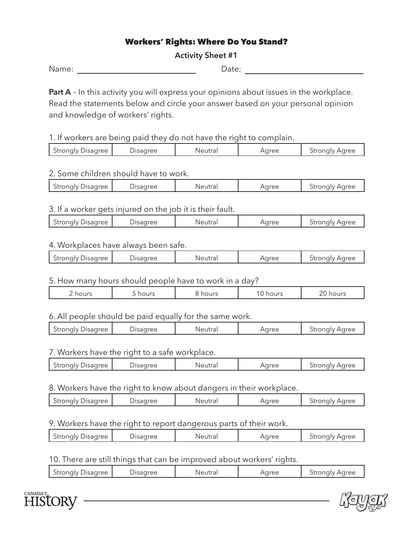# Workers' Rights: Where Do You Stand?

### **Activity Sheet #1**

Name: Date:

**Part A** – In this activity you will express your opinions about issues in the workplace. Read the statements below and circle your answer based on your personal opinion and knowledge of workers' rights.

1. If workers are being paid they do not have the right to complain.

| Jisadree<br>sagree<br>rrAC<br>Strongly<br>Aarec<br>$-$<br>$ -$<br>ז ור<br>lld<br>. . |
|--------------------------------------------------------------------------------------|
|--------------------------------------------------------------------------------------|

### 2. Some children should have to work.

| ---<br>Uree<br>ں سے ہیں<br> |
|-----------------------------|
|-----------------------------|

### 3. If a worker gets injured on the job it is their fault.

| Aaree<br>n mee<br>'isadree<br>Neutra<br>Aaree<br>Strongly L<br>tr <sub>0</sub><br>JISA(<br>.<br>utidi |
|-------------------------------------------------------------------------------------------------------|
|-------------------------------------------------------------------------------------------------------|

### 4. Workplaces have always been safe.

| $\alpha$ ree<br>tronaly | $\cap r \cap \cap$ | $-$<br>NH | $\alpha$ roc | $\sim$ $\sim$ $\sim$<br>$\overline{\phantom{0}}$ |
|-------------------------|--------------------|-----------|--------------|--------------------------------------------------|
|                         |                    |           |              |                                                  |

### 5. How many hours should people have to work in a day?

|  | าours<br><u>_</u> | $\overline{\phantom{a}}$<br>$\cdot$ $\sim$ $\sim$ | າours |  | $-100$ |
|--|-------------------|---------------------------------------------------|-------|--|--------|
|--|-------------------|---------------------------------------------------|-------|--|--------|

## 6. All people should be paid equally for the same work.

| Strongly Disagree | Jisagree | Neutra<br>uud. | aree | Strongly Agree |
|-------------------|----------|----------------|------|----------------|
|                   |          |                |      |                |

# 7. Workers have the right to a safe workplace.

| Strongly Disagree | ) isadree | Neutra'<br>u d' | Aaree | stronalv Aaree |
|-------------------|-----------|-----------------|-------|----------------|
|                   |           |                 |       |                |

### 8. Workers have the right to know about dangers in their workplace.

| <b>Jisagree</b><br>Stronaly | ے ت | $+ - -$<br>.ı d | $\alpha$ roc | $\sim$ $\sim$ $\sim$<br>JUUI!<br>,,,,<br>$\overline{\phantom{a}}$<br>— 1 |
|-----------------------------|-----|-----------------|--------------|--------------------------------------------------------------------------|
|                             |     |                 |              |                                                                          |

## 9. Workers have the right to report dangerous parts of their work.

| Strongly,<br><b>Disagree</b> | $\cdot$ 11 $\mapsto$ $\mapsto$ | $+ - -$ | TFA | analy Aaree<br>. |
|------------------------------|--------------------------------|---------|-----|------------------|
|                              |                                |         |     |                  |

### 10. There are still things that can be improved about workers' rights.

| <sup>1</sup> isadree<br>Aaree<br>Stronalv<br>N A<br>.NTP<br>ree :<br>$\mathbf{u}$<br>uua<br>הרו |
|-------------------------------------------------------------------------------------------------|
|-------------------------------------------------------------------------------------------------|